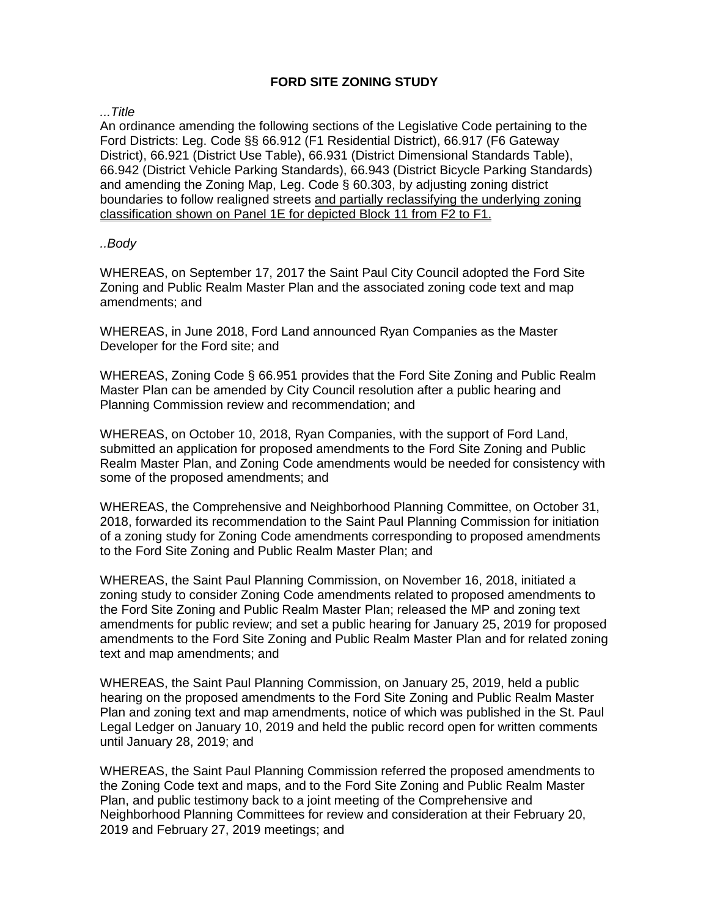# **FORD SITE ZONING STUDY**

*...Title*

An ordinance amending the following sections of the Legislative Code pertaining to the Ford Districts: Leg. Code §§ 66.912 (F1 Residential District), 66.917 (F6 Gateway District), 66.921 (District Use Table), 66.931 (District Dimensional Standards Table), 66.942 (District Vehicle Parking Standards), 66.943 (District Bicycle Parking Standards) and amending the Zoning Map, Leg. Code § 60.303, by adjusting zoning district boundaries to follow realigned streets and partially reclassifying the underlying zoning classification shown on Panel 1E for depicted Block 11 from F2 to F1.

#### *..Body*

WHEREAS, on September 17, 2017 the Saint Paul City Council adopted the Ford Site Zoning and Public Realm Master Plan and the associated zoning code text and map amendments; and

WHEREAS, in June 2018, Ford Land announced Ryan Companies as the Master Developer for the Ford site; and

WHEREAS, Zoning Code § 66.951 provides that the Ford Site Zoning and Public Realm Master Plan can be amended by City Council resolution after a public hearing and Planning Commission review and recommendation; and

WHEREAS, on October 10, 2018, Ryan Companies, with the support of Ford Land, submitted an application for proposed amendments to the Ford Site Zoning and Public Realm Master Plan, and Zoning Code amendments would be needed for consistency with some of the proposed amendments; and

WHEREAS, the Comprehensive and Neighborhood Planning Committee, on October 31, 2018, forwarded its recommendation to the Saint Paul Planning Commission for initiation of a zoning study for Zoning Code amendments corresponding to proposed amendments to the Ford Site Zoning and Public Realm Master Plan; and

WHEREAS, the Saint Paul Planning Commission, on November 16, 2018, initiated a zoning study to consider Zoning Code amendments related to proposed amendments to the Ford Site Zoning and Public Realm Master Plan; released the MP and zoning text amendments for public review; and set a public hearing for January 25, 2019 for proposed amendments to the Ford Site Zoning and Public Realm Master Plan and for related zoning text and map amendments; and

WHEREAS, the Saint Paul Planning Commission, on January 25, 2019, held a public hearing on the proposed amendments to the Ford Site Zoning and Public Realm Master Plan and zoning text and map amendments, notice of which was published in the St. Paul Legal Ledger on January 10, 2019 and held the public record open for written comments until January 28, 2019; and

WHEREAS, the Saint Paul Planning Commission referred the proposed amendments to the Zoning Code text and maps, and to the Ford Site Zoning and Public Realm Master Plan, and public testimony back to a joint meeting of the Comprehensive and Neighborhood Planning Committees for review and consideration at their February 20, 2019 and February 27, 2019 meetings; and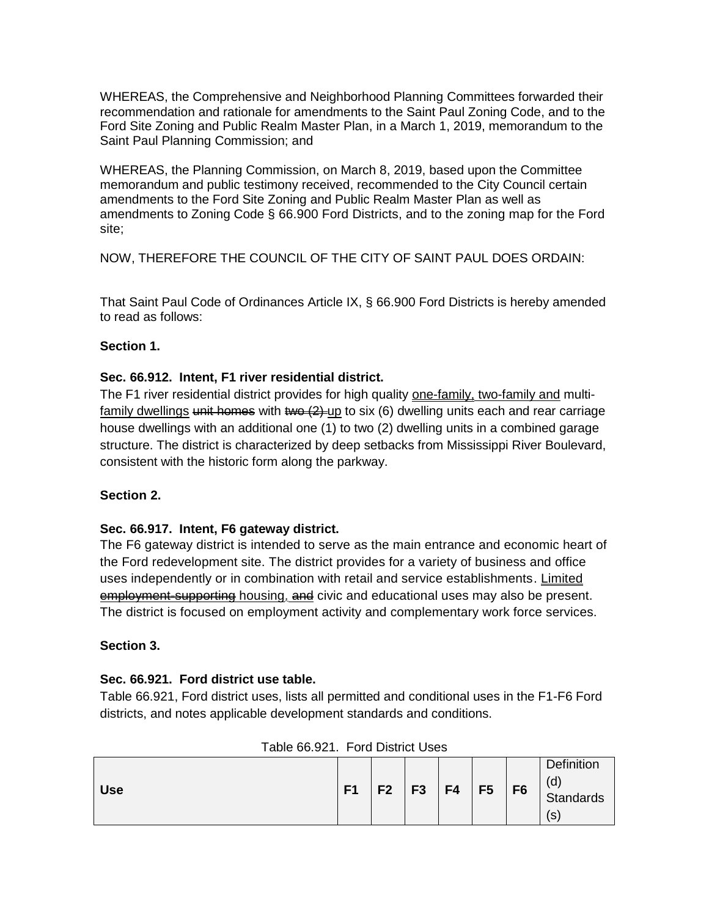WHEREAS, the Comprehensive and Neighborhood Planning Committees forwarded their recommendation and rationale for amendments to the Saint Paul Zoning Code, and to the Ford Site Zoning and Public Realm Master Plan, in a March 1, 2019, memorandum to the Saint Paul Planning Commission; and

WHEREAS, the Planning Commission, on March 8, 2019, based upon the Committee memorandum and public testimony received, recommended to the City Council certain amendments to the Ford Site Zoning and Public Realm Master Plan as well as amendments to Zoning Code § 66.900 Ford Districts, and to the zoning map for the Ford site;

NOW, THEREFORE THE COUNCIL OF THE CITY OF SAINT PAUL DOES ORDAIN:

That Saint Paul Code of Ordinances Article IX, § 66.900 Ford Districts is hereby amended to read as follows:

## **Section 1.**

## **Sec. 66.912. Intent, F1 river residential district.**

The F1 river residential district provides for high quality one-family, two-family and multifamily dwellings unit homes with two  $(2)$ -up to six (6) dwelling units each and rear carriage house dwellings with an additional one (1) to two (2) dwelling units in a combined garage structure. The district is characterized by deep setbacks from Mississippi River Boulevard, consistent with the historic form along the parkway.

## **Section 2.**

## **Sec. 66.917. Intent, F6 gateway district.**

The F6 gateway district is intended to serve as the main entrance and economic heart of the Ford redevelopment site. The district provides for a variety of business and office uses independently or in combination with retail and service establishments. Limited employment-supporting housing, and civic and educational uses may also be present. The district is focused on employment activity and complementary work force services.

#### **Section 3.**

## **Sec. 66.921. Ford district use table.**

Table 66.921, Ford district uses, lists all permitted and conditional uses in the F1-F6 Ford districts, and notes applicable development standards and conditions.

| <b>Use</b> | F <sub>1</sub> | F <sub>2</sub> | F <sub>3</sub> | F4 | F <sub>5</sub> | F <sub>6</sub> | <b>Definition</b><br>(d)<br><b>Standards</b><br>S |
|------------|----------------|----------------|----------------|----|----------------|----------------|---------------------------------------------------|
|------------|----------------|----------------|----------------|----|----------------|----------------|---------------------------------------------------|

Table 66.921. Ford District Uses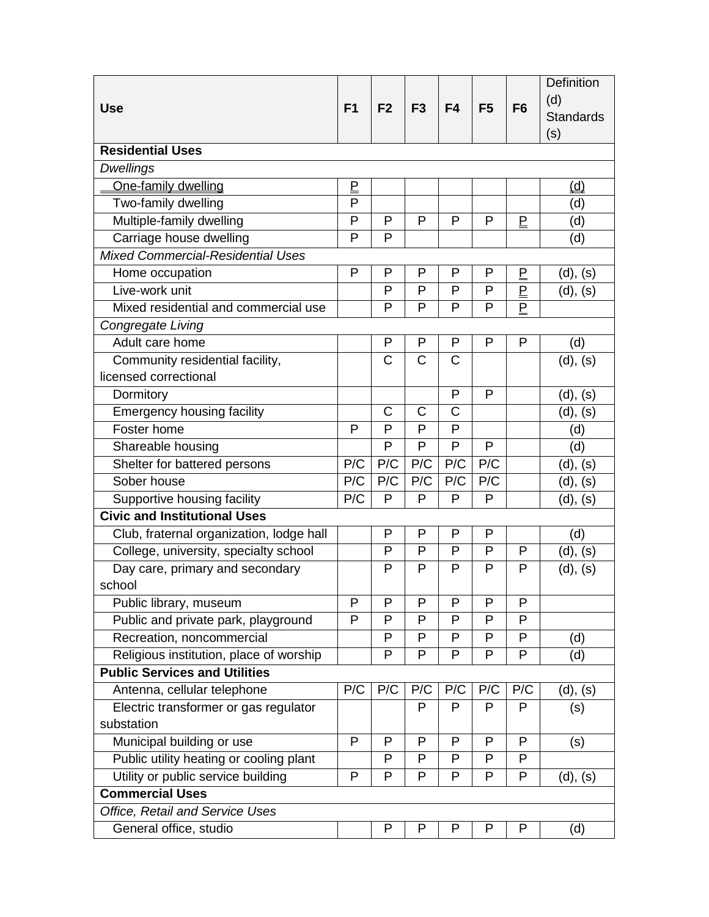|                                          |                                      |                       |                       |                       |                |                                      | Definition       |
|------------------------------------------|--------------------------------------|-----------------------|-----------------------|-----------------------|----------------|--------------------------------------|------------------|
| <b>Use</b>                               | F <sub>1</sub>                       | F <sub>2</sub>        | F <sub>3</sub>        | F4                    | F <sub>5</sub> | F <sub>6</sub>                       | (d)              |
|                                          |                                      |                       |                       |                       |                |                                      | <b>Standards</b> |
|                                          |                                      |                       |                       |                       |                |                                      | (s)              |
| <b>Residential Uses</b>                  |                                      |                       |                       |                       |                |                                      |                  |
| <b>Dwellings</b>                         |                                      |                       |                       |                       |                |                                      |                  |
| One-family dwelling                      | $\underline{\underline{\mathsf{P}}}$ |                       |                       |                       |                |                                      | <u>(d)</u>       |
| Two-family dwelling                      | $\overline{P}$                       |                       |                       |                       |                |                                      | (d)              |
| Multiple-family dwelling                 | P                                    | P                     | P                     | P                     | P              | $\overline{E}$                       | (d)              |
| Carriage house dwelling                  | $\mathsf{P}$                         | P                     |                       |                       |                |                                      | (d)              |
| <b>Mixed Commercial-Residential Uses</b> |                                      |                       |                       |                       |                |                                      |                  |
| Home occupation                          | P                                    | P                     | P                     | P                     | P              | $\overline{\mathsf{F}}$              | (d), (s)         |
| Live-work unit                           |                                      | P                     | P                     | P                     | P              | $\underline{\underline{\mathsf{P}}}$ | (d), (s)         |
| Mixed residential and commercial use     |                                      | P                     | P                     | P                     | P              | $\overline{P}$                       |                  |
| Congregate Living                        |                                      |                       |                       |                       |                |                                      |                  |
| Adult care home                          |                                      | P                     | P                     | P                     | P              | P                                    | (d)              |
| Community residential facility,          |                                      | $\overline{\text{C}}$ | $\overline{\text{C}}$ | $\overline{\text{C}}$ |                |                                      | (d), (s)         |
| licensed correctional                    |                                      |                       |                       |                       |                |                                      |                  |
| Dormitory                                |                                      |                       |                       | P                     | P              |                                      | (d), (s)         |
| <b>Emergency housing facility</b>        |                                      | C                     | $\mathsf{C}$          | C                     |                |                                      | (d), (s)         |
| Foster home                              | P                                    | P                     | P                     | P                     |                |                                      | (d)              |
| Shareable housing                        |                                      | P                     | P                     | P                     | P              |                                      | (d)              |
| Shelter for battered persons             | P/C                                  | P/C                   | P/C                   | P/C                   | P/C            |                                      | (d), (s)         |
| Sober house                              |                                      | P/C                   | P/C                   | P/C                   | P/C            |                                      | (d), (s)         |
| Supportive housing facility              |                                      | P                     | P                     | P                     | P              |                                      | (d), (s)         |
| <b>Civic and Institutional Uses</b>      |                                      |                       |                       |                       |                |                                      |                  |
| Club, fraternal organization, lodge hall |                                      | P                     | P                     | P                     | P              |                                      | (d)              |
| College, university, specialty school    |                                      | P                     | P                     | P                     | P              | P                                    | (d), (s)         |
| Day care, primary and secondary          |                                      | P                     | P                     | P                     | P              | P                                    | (d), (s)         |
| school                                   |                                      |                       |                       |                       |                |                                      |                  |
| Public library, museum                   | P                                    | P                     | P                     | P                     | P              | P                                    |                  |
| Public and private park, playground      | P                                    | P                     | P                     | P                     | P              | P                                    |                  |
| Recreation, noncommercial                |                                      | P                     | P                     | P                     | P              | P                                    | (d)              |
| Religious institution, place of worship  |                                      | P                     | P                     | P                     | P              | P                                    | (d)              |
| <b>Public Services and Utilities</b>     |                                      |                       |                       |                       |                |                                      |                  |
| Antenna, cellular telephone              | P/C                                  | P/C                   | P/C                   | P/C                   | P/C            | P/C                                  | (d), (s)         |
| Electric transformer or gas regulator    |                                      |                       | $\mathsf{P}$          | P                     | P              | P                                    | (s)              |
| substation                               |                                      |                       |                       |                       |                |                                      |                  |
| Municipal building or use                | P                                    | P                     | P                     | P                     | P              | P                                    | (s)              |
| Public utility heating or cooling plant  |                                      | P                     | P                     | P                     | P              | P                                    |                  |
| Utility or public service building       | P                                    | P                     | P                     | P                     | P              | P                                    | (d), (s)         |
| <b>Commercial Uses</b>                   |                                      |                       |                       |                       |                |                                      |                  |
| Office, Retail and Service Uses          |                                      |                       |                       |                       |                |                                      |                  |
| General office, studio                   |                                      | P                     | P                     | P                     | P              | P                                    | (d)              |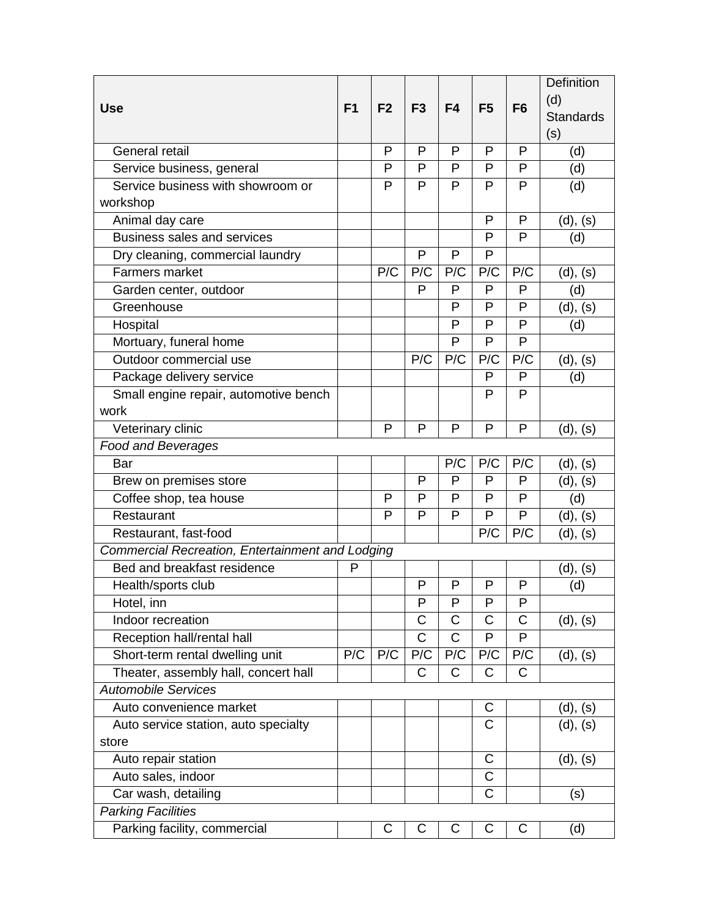|                                                  |                |                |                       |                       |                |                | <b>Definition</b> |
|--------------------------------------------------|----------------|----------------|-----------------------|-----------------------|----------------|----------------|-------------------|
| <b>Use</b>                                       | F <sub>1</sub> | F <sub>2</sub> | F <sub>3</sub>        | F4                    | F <sub>5</sub> | F <sub>6</sub> | (d)               |
|                                                  |                |                |                       |                       |                |                | <b>Standards</b>  |
|                                                  |                |                |                       |                       |                |                | (s)               |
| General retail                                   |                | P              | P                     | P                     | P              | P              | (d)               |
| Service business, general                        |                | P              | P                     | P                     | P              | P              | (d)               |
| Service business with showroom or                |                | P              | P                     | P                     | P              | P              | (d)               |
| workshop                                         |                |                |                       |                       |                |                |                   |
| Animal day care                                  |                |                |                       |                       | P              | $\mathsf{P}$   | (d), (s)          |
| <b>Business sales and services</b>               |                |                |                       |                       | P              | P              | (d)               |
| Dry cleaning, commercial laundry                 |                |                | P                     | P                     | P              |                |                   |
| <b>Farmers market</b>                            |                | P/C            | P/C                   | P/C                   | P/C            | P/C            | (d), (s)          |
| Garden center, outdoor                           |                |                | P                     | P                     | P              | P              | (d)               |
| Greenhouse                                       |                |                |                       | P                     | P              | P              | (d), (s)          |
| Hospital                                         |                |                |                       | P                     | P              | P              | (d)               |
| Mortuary, funeral home                           |                |                |                       | P                     | P              | P              |                   |
| Outdoor commercial use                           |                |                | P/C                   | P/C                   | P/C            | P/C            | (d), (s)          |
| Package delivery service                         |                |                |                       |                       | P              | P              | (d)               |
| Small engine repair, automotive bench            |                |                |                       |                       | P              | P              |                   |
| work                                             |                |                |                       |                       |                |                |                   |
| Veterinary clinic                                |                | P              | P                     | P                     | P              | $\mathsf{P}$   | (d), (s)          |
| <b>Food and Beverages</b>                        |                |                |                       |                       |                |                |                   |
| Bar                                              |                |                |                       | P/C                   | P/C            | P/C            | (d), (s)          |
| Brew on premises store                           |                |                | P                     | P                     | P              | P              | (d), (s)          |
| Coffee shop, tea house                           |                | P              | P                     | P                     | P              | P              | (d)               |
| Restaurant                                       |                | P              | P                     | P                     | P              | P              | (d), (s)          |
| Restaurant, fast-food                            |                |                |                       |                       | P/C            | P/C            | (d), (s)          |
| Commercial Recreation, Entertainment and Lodging |                |                |                       |                       |                |                |                   |
| Bed and breakfast residence                      | P              |                |                       |                       |                |                | (d), (s)          |
| Health/sports club                               |                |                | P                     | P                     | P              | P              | (d)               |
| Hotel, inn                                       |                |                | P                     | P                     | P              | $\mathsf{P}$   |                   |
| Indoor recreation                                |                |                | C                     | C                     | $\mathsf C$    | $\mathsf C$    | (d), (s)          |
| Reception hall/rental hall                       |                |                | $\overline{\text{C}}$ | $\overline{\text{C}}$ | P              | P              |                   |
| Short-term rental dwelling unit                  | P/C            | P/C            | P/C                   | P/C                   | P/C            | P/C            | (d), (s)          |
| Theater, assembly hall, concert hall             |                |                | $\mathsf{C}$          | $\mathsf{C}$          | $\mathsf{C}$   | $\mathsf{C}$   |                   |
| <b>Automobile Services</b>                       |                |                |                       |                       |                |                |                   |
| Auto convenience market                          |                |                |                       |                       | C              |                | (d), (s)          |
| Auto service station, auto specialty             |                |                |                       |                       | $\mathsf C$    |                | (d), (s)          |
| store                                            |                |                |                       |                       |                |                |                   |
| Auto repair station                              |                |                |                       |                       | $\mathsf{C}$   |                | (d), (s)          |
| Auto sales, indoor                               |                |                |                       |                       | $\mathsf C$    |                |                   |
| Car wash, detailing                              |                |                |                       |                       | $\mathsf C$    |                | (s)               |
| <b>Parking Facilities</b>                        |                |                |                       |                       |                |                |                   |
| Parking facility, commercial                     |                | С              | С                     | С                     | С              | C              | (d)               |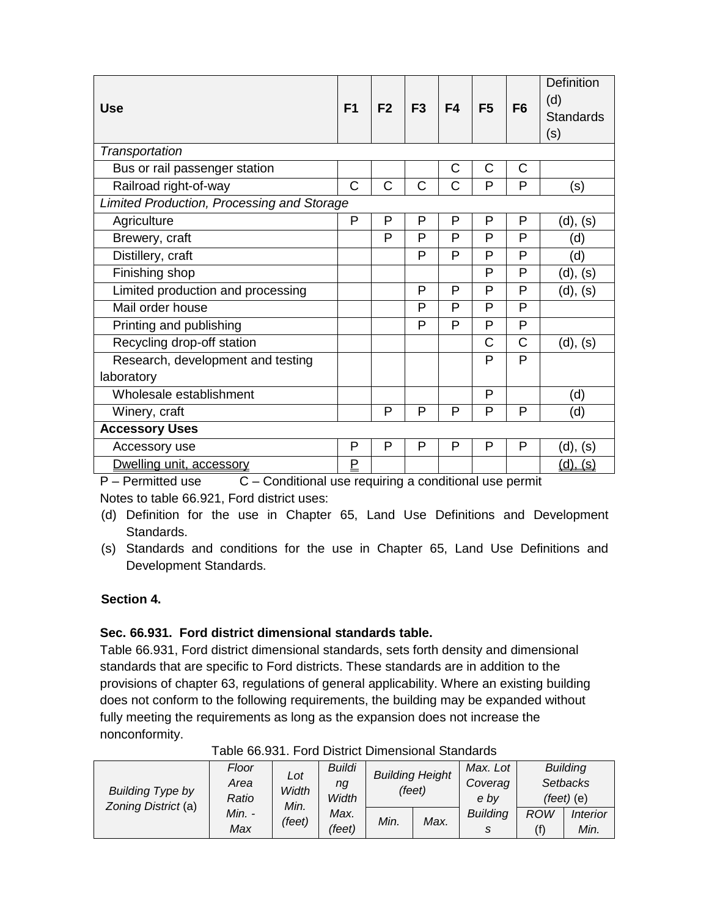| <b>Use</b>                                 | F <sub>1</sub> | F <sub>2</sub> | F <sub>3</sub> | F <sub>4</sub> | F <sub>5</sub> | F <sub>6</sub> | Definition<br>(d)<br><b>Standards</b><br>(s) |
|--------------------------------------------|----------------|----------------|----------------|----------------|----------------|----------------|----------------------------------------------|
| Transportation                             |                |                |                |                |                |                |                                              |
| Bus or rail passenger station              |                |                |                | $\mathsf{C}$   | C              | C              |                                              |
| Railroad right-of-way                      | $\overline{C}$ | C              | C              | C              | P              | P              | (s)                                          |
| Limited Production, Processing and Storage |                |                |                |                |                |                |                                              |
| Agriculture                                | P              | P              | P              | P              | P              | P              | (d), (s)                                     |
| Brewery, craft                             |                | P              | P              | P              | P              | P              | (d)                                          |
| Distillery, craft                          |                |                | P              | P              | P              | P              | (d)                                          |
| Finishing shop                             |                |                |                |                | P              | P              | (d), (s)                                     |
| Limited production and processing          |                |                | P              | P              | P              | P              | (d), (s)                                     |
| Mail order house                           |                |                | P              | P              | P              | P              |                                              |
| Printing and publishing                    |                |                | P              | P              | P              | P              |                                              |
| Recycling drop-off station                 |                |                |                |                | C              | C              | (d), (s)                                     |
| Research, development and testing          |                |                |                |                | P              | P              |                                              |
| laboratory                                 |                |                |                |                |                |                |                                              |
| Wholesale establishment                    |                |                |                |                | P              |                | (d)                                          |
| Winery, craft                              |                | P              | P              | P              | P              | P              | (d)                                          |
| <b>Accessory Uses</b>                      |                |                |                |                |                |                |                                              |
| Accessory use                              | P              | P              | P              | P              | P              | P              | (d), (s)                                     |
| Dwelling unit, accessory                   | <u>P</u>       |                |                |                |                |                | $(d)$ .<br>(S)                               |

 $P -$  Permitted use  $C -$  Conditional use requiring a conditional use permit Notes to table 66.921, Ford district uses:

- (d) Definition for the use in Chapter 65, Land Use Definitions and Development Standards.
- (s) Standards and conditions for the use in Chapter 65, Land Use Definitions and Development Standards.

# **Section 4.**

# **Sec. 66.931. Ford district dimensional standards table.**

Table 66.931, Ford district dimensional standards, sets forth density and dimensional standards that are specific to Ford districts. These standards are in addition to the provisions of chapter 63, regulations of general applicability. Where an existing building does not conform to the following requirements, the building may be expanded without fully meeting the requirements as long as the expansion does not increase the nonconformity.

|                                                                                            | Buildi<br>Floor<br>Lot<br>Area<br>ng<br>Width | <b>Building Height</b><br>(feet) |      | Max. Lot        |                 | <b>Building</b> |                |
|--------------------------------------------------------------------------------------------|-----------------------------------------------|----------------------------------|------|-----------------|-----------------|-----------------|----------------|
|                                                                                            |                                               |                                  |      | Coverag         | <b>Setbacks</b> |                 |                |
| <b>Building Type by</b><br>Ratio<br>Zoning District (a)<br>Min.<br>Min. -<br>(feet)<br>Max |                                               | Width                            |      |                 | e bv            |                 | $(feet)$ $(e)$ |
|                                                                                            | Max.                                          | Min.                             | Max. | <b>Building</b> | ROW             | Interior        |                |
|                                                                                            | (feet)                                        |                                  |      | S               | (f)             | Min.            |                |

Table 66.931. Ford District Dimensional Standards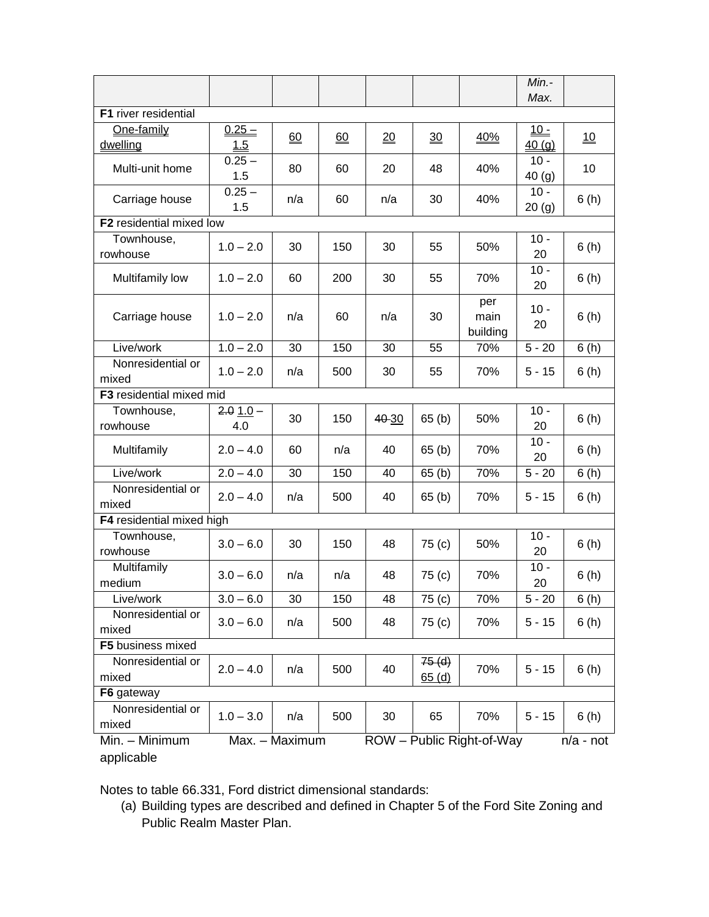|                              |                   |                |     |                  |                      |                           | Min.-<br>Max.       |                 |
|------------------------------|-------------------|----------------|-----|------------------|----------------------|---------------------------|---------------------|-----------------|
| F1 river residential         |                   |                |     |                  |                      |                           |                     |                 |
| One-family                   | $0.25 -$          |                |     |                  |                      |                           | $10 -$              |                 |
| dwelling                     | 1.5               | 60             | 60  | $\underline{20}$ | <u>30</u>            | 40%                       | 40(q)               | $\overline{10}$ |
| Multi-unit home              | $0.25 -$<br>1.5   | 80             | 60  | 20               | 48                   | 40%                       | $10 -$<br>40(g)     | 10              |
| Carriage house               | $0.25 -$<br>1.5   | n/a            | 60  | n/a              | 30                   | 40%                       | $10 -$<br>20(g)     | 6(h)            |
| F2 residential mixed low     |                   |                |     |                  |                      |                           |                     |                 |
| Townhouse,<br>rowhouse       | $1.0 - 2.0$       | 30             | 150 | 30               | 55                   | 50%                       | $10 -$<br>20        | 6(h)            |
| Multifamily low              | $1.0 - 2.0$       | 60             | 200 | 30               | 55                   | 70%                       | $10 -$<br>20        | 6(h)            |
| Carriage house               | $1.0 - 2.0$       | n/a            | 60  | n/a              | 30                   | per<br>main<br>building   | $10 -$<br>20        | 6(h)            |
| Live/work                    | $1.0 - 2.0$       | 30             | 150 | 30               | 55                   | 70%                       | $5 - 20$            | 6(h)            |
| Nonresidential or<br>mixed   | $1.0 - 2.0$       | n/a            | 500 | 30               | 55                   | 70%                       | $5 - 15$            | 6(h)            |
| F3 residential mixed mid     |                   |                |     |                  |                      |                           |                     |                 |
| Townhouse,<br>rowhouse       | $2.01.0 -$<br>4.0 | 30             | 150 | 40-30            | 65(b)                | 50%                       | $10 -$<br>20        | 6(h)            |
| Multifamily                  | $2.0 - 4.0$       | 60             | n/a | 40               | 65(b)                | 70%                       | $10 -$<br>20        | 6(h)            |
| Live/work                    | $2.0 - 4.0$       | 30             | 150 | 40               | 65(b)                | 70%                       | $\overline{5}$ - 20 | 6(h)            |
| Nonresidential or<br>mixed   | $2.0 - 4.0$       | n/a            | 500 | 40               | 65 <sub>(b)</sub>    | 70%                       | $5 - 15$            | 6(h)            |
| F4 residential mixed high    |                   |                |     |                  |                      |                           |                     |                 |
| Townhouse,<br>rowhouse       | $3.0 - 6.0$       | 30             | 150 | 48               | 75 <sub>(c)</sub>    | 50%                       | $10 -$<br>20        | 6(h)            |
| Multifamily<br>medium        | $3.0 - 6.0$       | n/a            | n/a | 48               | 75 (c)               | 70%                       | $10 -$<br>20        | 6(h)            |
| Live/work                    | $3.0 - 6.0$       | 30             | 150 | 48               | 75 (c)               | 70%                       | $5 - 20$            | 6(h)            |
| Nonresidential or<br>mixed   | $3.0 - 6.0$       | n/a            | 500 | 48               | 75 (c)               | 70%                       | $5 - 15$            | 6(h)            |
| F5 business mixed            |                   |                |     |                  |                      |                           |                     |                 |
| Nonresidential or<br>mixed   | $2.0 - 4.0$       | n/a            | 500 | 40               | $75($ d $)$<br>65(d) | 70%                       | $5 - 15$            | 6(h)            |
| F6 gateway                   |                   |                |     |                  |                      |                           |                     |                 |
| Nonresidential or<br>mixed   | $1.0 - 3.0$       | n/a            | 500 | 30               | 65                   | 70%                       | $5 - 15$            | 6(h)            |
| Min. - Minimum<br>applicable |                   | Max. - Maximum |     |                  |                      | ROW - Public Right-of-Way |                     | $n/a$ - not     |

Notes to table 66.331, Ford district dimensional standards:

(a) Building types are described and defined in Chapter 5 of the Ford Site Zoning and Public Realm Master Plan.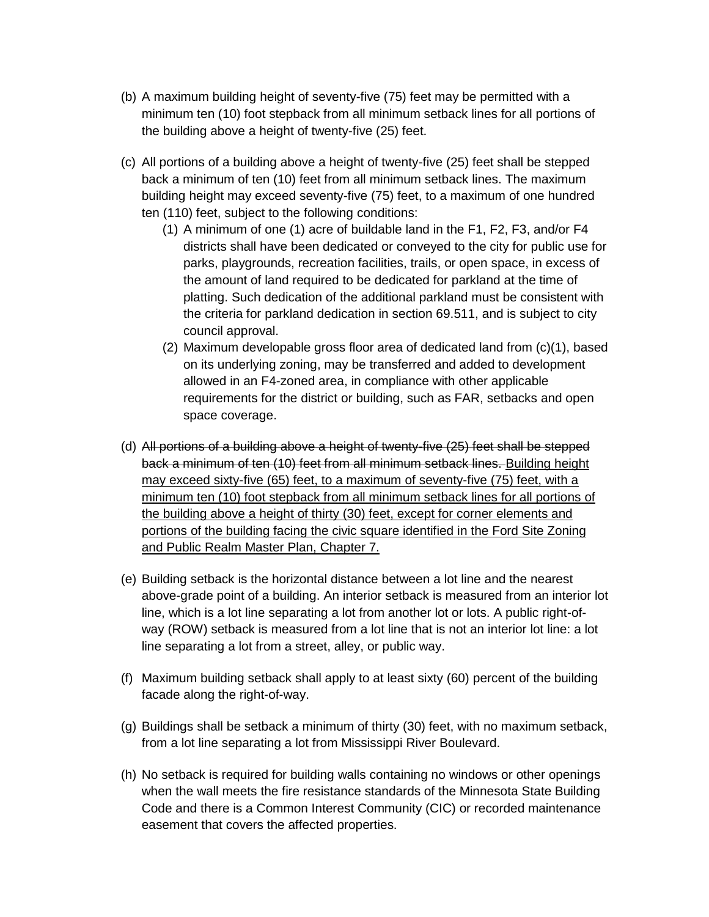- (b) A maximum building height of seventy-five (75) feet may be permitted with a minimum ten (10) foot stepback from all minimum setback lines for all portions of the building above a height of twenty-five (25) feet.
- (c) All portions of a building above a height of twenty-five (25) feet shall be stepped back a minimum of ten (10) feet from all minimum setback lines. The maximum building height may exceed seventy-five (75) feet, to a maximum of one hundred ten (110) feet, subject to the following conditions:
	- (1) A minimum of one (1) acre of buildable land in the F1, F2, F3, and/or F4 districts shall have been dedicated or conveyed to the city for public use for parks, playgrounds, recreation facilities, trails, or open space, in excess of the amount of land required to be dedicated for parkland at the time of platting. Such dedication of the additional parkland must be consistent with the criteria for parkland dedication in section 69.511, and is subject to city council approval.
	- (2) Maximum developable gross floor area of dedicated land from (c)(1), based on its underlying zoning, may be transferred and added to development allowed in an F4-zoned area, in compliance with other applicable requirements for the district or building, such as FAR, setbacks and open space coverage.
- (d) All portions of a building above a height of twenty-five (25) feet shall be stepped back a minimum of ten (10) feet from all minimum setback lines. Building height may exceed sixty-five (65) feet, to a maximum of seventy-five (75) feet, with a minimum ten (10) foot stepback from all minimum setback lines for all portions of the building above a height of thirty (30) feet, except for corner elements and portions of the building facing the civic square identified in the Ford Site Zoning and Public Realm Master Plan, Chapter 7.
- (e) Building setback is the horizontal distance between a lot line and the nearest above-grade point of a building. An interior setback is measured from an interior lot line, which is a lot line separating a lot from another lot or lots. A public right-ofway (ROW) setback is measured from a lot line that is not an interior lot line: a lot line separating a lot from a street, alley, or public way.
- (f) Maximum building setback shall apply to at least sixty (60) percent of the building facade along the right-of-way.
- (g) Buildings shall be setback a minimum of thirty (30) feet, with no maximum setback, from a lot line separating a lot from Mississippi River Boulevard.
- (h) No setback is required for building walls containing no windows or other openings when the wall meets the fire resistance standards of the Minnesota State Building Code and there is a Common Interest Community (CIC) or recorded maintenance easement that covers the affected properties.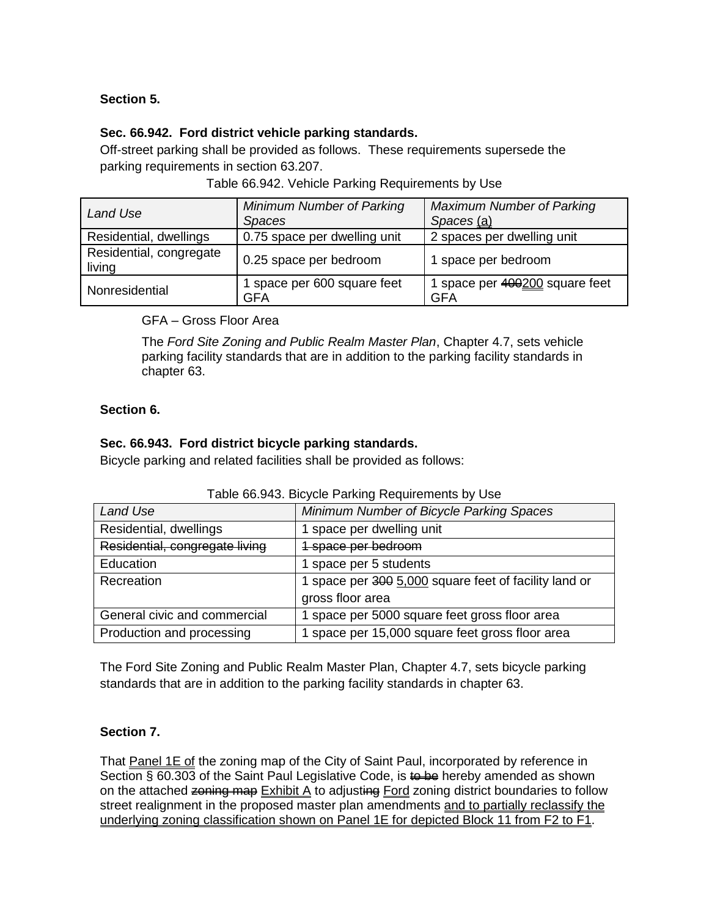# **Section 5.**

## **Sec. 66.942. Ford district vehicle parking standards.**

Off-street parking shall be provided as follows. These requirements supersede the parking requirements in section 63.207.

| Table 66.942. Vehicle Parking Requirements by Use |  |  |  |
|---------------------------------------------------|--|--|--|

| Land Use                          | Minimum Number of Parking<br><b>Spaces</b> | <b>Maximum Number of Parking</b><br>Spaces (a) |
|-----------------------------------|--------------------------------------------|------------------------------------------------|
| Residential, dwellings            | 0.75 space per dwelling unit               | 2 spaces per dwelling unit                     |
| Residential, congregate<br>living | 0.25 space per bedroom                     | 1 space per bedroom                            |
| Nonresidential                    | space per 600 square feet<br>GFA           | 1 space per 400200 square feet<br><b>GFA</b>   |

GFA – Gross Floor Area

The *Ford Site Zoning and Public Realm Master Plan*, Chapter 4.7, sets vehicle parking facility standards that are in addition to the parking facility standards in chapter 63.

## **Section 6.**

#### **Sec. 66.943. Ford district bicycle parking standards.**

Bicycle parking and related facilities shall be provided as follows:

| Land Use                       | Minimum Number of Bicycle Parking Spaces              |
|--------------------------------|-------------------------------------------------------|
| Residential, dwellings         | 1 space per dwelling unit                             |
| Residential, congregate living | 1 space per bedroom                                   |
| Education                      | space per 5 students                                  |
| Recreation                     | 1 space per 300 5,000 square feet of facility land or |
|                                | gross floor area                                      |
| General civic and commercial   | 1 space per 5000 square feet gross floor area         |
| Production and processing      | 1 space per 15,000 square feet gross floor area       |

#### Table 66.943. Bicycle Parking Requirements by Use

The Ford Site Zoning and Public Realm Master Plan, Chapter 4.7, sets bicycle parking standards that are in addition to the parking facility standards in chapter 63.

## **Section 7.**

That Panel 1E of the zoning map of the City of Saint Paul, incorporated by reference in Section § 60.303 of the Saint Paul Legislative Code, is to be hereby amended as shown on the attached zoning map  $Exhibit A$  to adjusting Ford zoning district boundaries to follow street realignment in the proposed master plan amendments and to partially reclassify the underlying zoning classification shown on Panel 1E for depicted Block 11 from F2 to F1.